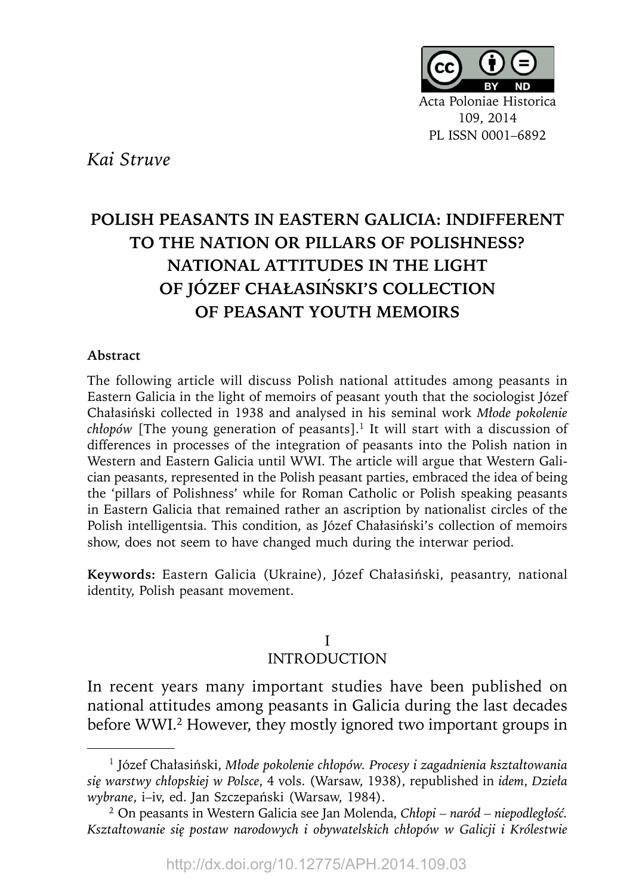

*Kai Struve*

# **POLISH PEASANTS IN EASTERN GALICIA: INDIFFERENT TO THE NATION OR PILLARS OF POLISHNESS? NATIONAL ATTITUDES IN THE LIGHT OF JÓZEF CHAŁASIŃSKI'S COLLECTION OF PEASANT YOUTH MEMOIRS**

#### **Abstract**

The following article will discuss Polish national attitudes among peasants in Eastern Galicia in the light of memoirs of peasant youth that the sociologist Józef Chałasiński collected in 1938 and analysed in his seminal work *Młode pokolenie chłopów* [The young generation of peasants].<sup>1</sup> It will start with a discussion of differences in processes of the integration of peasants into the Polish nation in Western and Eastern Galicia until WWI. The article will argue that Western Galician peasants, represented in the Polish peasant parties, embraced the idea of being the 'pillars of Polishness' while for Roman Catholic or Polish speaking peasants in Eastern Galicia that remained rather an ascription by nationalist circles of the Polish intelligentsia. This condition, as Józef Chałasiński's collection of memoirs show, does not seem to have changed much during the interwar period.

**Keywords:** Eastern Galicia (Ukraine), Józef Chałasiński, peasantry, national identity, Polish peasant movement.

### I INTRODUCTION

In recent years many important studies have been published on national attitudes among peasants in Galicia during the last decades before WWI.<sup>2</sup> However, they mostly ignored two important groups in

<sup>1</sup> Józef Chałasiński, *Młode pokolenie chłopów. Procesy i zagadnienia kształtowania się warstwy chłopskiej w Polsce*, 4 vols. (Warsaw, 1938), republished in *idem*, *Dzieła wybrane*, i–iv, ed. Jan Szczepański (Warsaw, 1984).

<sup>2</sup> On peasants in Western Galicia see Jan Molenda, *Chłopi – naród – niepodległość. Kształtowanie się postaw narodowych i obywatelskich chłopów w Galicji i Królestwie*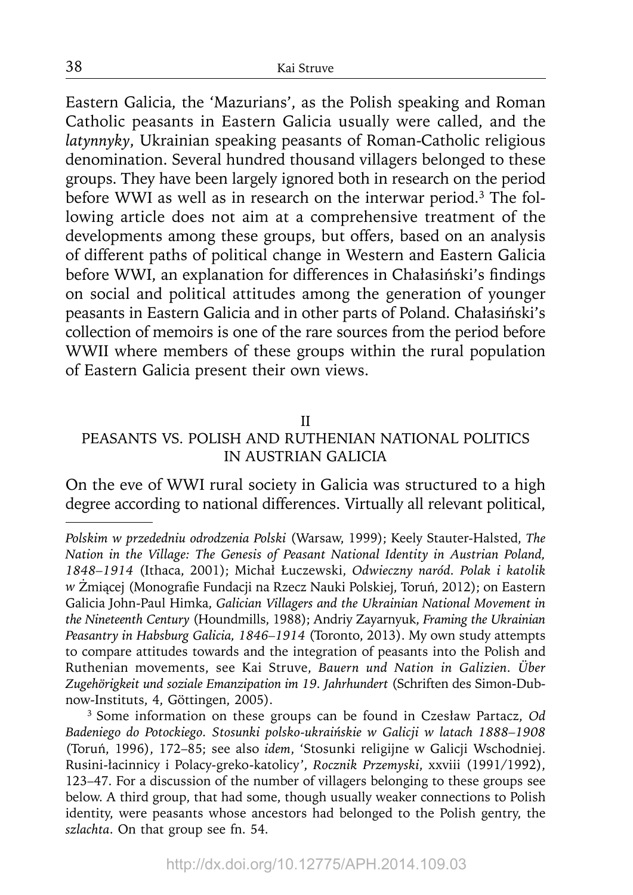Eastern Galicia, the 'Mazurians', as the Polish speaking and Roman Catholic peasants in Eastern Galicia usually were called, and the *latynnyky*, Ukrainian speaking peasants of Roman-Catholic religious denomination. Several hundred thousand villagers belonged to these groups. They have been largely ignored both in research on the period before WWI as well as in research on the interwar period.<sup>3</sup> The following article does not aim at a comprehensive treatment of the developments among these groups, but offers, based on an analysis of different paths of political change in Western and Eastern Galicia before WWI, an explanation for differences in Chałasiński's findings on social and political attitudes among the generation of younger peasants in Eastern Galicia and in other parts of Poland. Chałasiński's collection of memoirs is one of the rare sources from the period before WWII where members of these groups within the rural population of Eastern Galicia present their own views.

#### II

## PEASANTS VS. POLISH AND RUTHENIAN NATIONAL POLITICS IN AUSTRIAN GALICIA

On the eve of WWI rural society in Galicia was structured to a high degree according to national differences. Virtually all relevant political,

38

*Polskim w przededniu odrodzenia Polski* (Warsaw, 1999); Keely Stauter-Halsted, *The Nation in the Village: The Genesis of Peasant National Identity in Austrian Poland, 1848–1914* (Ithaca, 2001); Michał Łuczewski, *Odwieczny naród. Polak i katolik*  w Żmiącej (Monografie Fundacji na Rzecz Nauki Polskiej, Toruń, 2012); on Eastern Galicia John-Paul Himka, *Galician Villagers and the Ukrainian National Movement in the Nineteenth Century* (Houndmills, 1988); Andriy Zayarnyuk, *Framing the Ukrainian Peasantry in Habsburg Galicia, 1846–1914* (Toronto, 2013). My own study attempts to compare attitudes towards and the integration of peasants into the Polish and Ruthenian movements, see Kai Struve, *Bauern und Nation in Galizien. Über Zugehörigkeit und soziale Emanzipation im 19. Jahrhundert* (Schriften des Simon-Dubnow-Instituts, 4, Göttingen, 2005).

<sup>3</sup> Some information on these groups can be found in Czesław Partacz, *Od Badeniego do Potockiego. Stosunki polsko-ukraińskie w Galicji w latach 1888–1908*  (Toruń, 1996), 172–85; see also *idem*, 'Stosunki religijne w Galicji Wschodniej. Rusini-łacinnicy i Polacy-greko-katolicy', *Rocznik Przemyski*, xxviii (1991/1992), 123–47. For a discussion of the number of villagers belonging to these groups see below. A third group, that had some, though usually weaker connections to Polish identity, were peasants whose ancestors had belonged to the Polish gentry, the *szlachta*. On that group see fn. 54.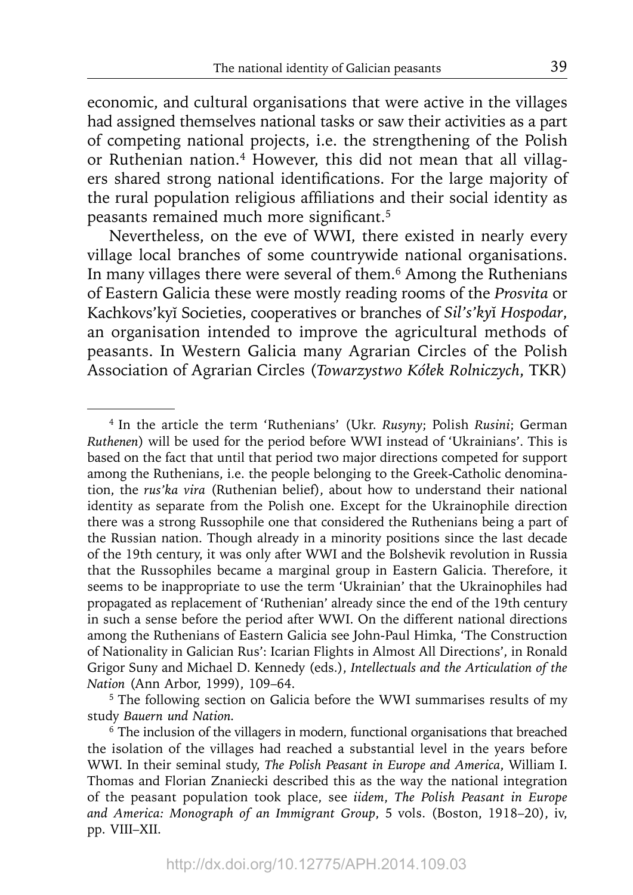economic, and cultural organisations that were active in the villages had assigned themselves national tasks or saw their activities as a part of competing national projects, i.e. the strengthening of the Polish or Ruthenian nation.<sup>4</sup> However, this did not mean that all villagers shared strong national identifications. For the large majority of the rural population religious affiliations and their social identity as peasants remained much more significant.<sup>5</sup>

Nevertheless, on the eve of WWI, there existed in nearly every village local branches of some countrywide national organisations. In many villages there were several of them.6 Among the Ruthenians of Eastern Galicia these were mostly reading rooms of the *Prosvita* or Kachkovs'kyĭ Societies, cooperatives or branches of *Sil's'ky*ĭ *Hospodar*, an organisation intended to improve the agricultural methods of peasants. In Western Galicia many Agrarian Circles of the Polish Association of Agrarian Circles (*Towarzystwo Kółek Rolniczych*, TKR)

<sup>4</sup> In the article the term 'Ruthenians' (Ukr. *Rusyny*; Polish *Rusini*; German *Ruthenen*) will be used for the period before WWI instead of 'Ukrainians'. This is based on the fact that until that period two major directions competed for support among the Ruthenians, i.e. the people belonging to the Greek-Catholic denomination, the *rus'ka vira* (Ruthenian belief), about how to understand their national identity as separate from the Polish one. Except for the Ukrainophile direction there was a strong Russophile one that considered the Ruthenians being a part of the Russian nation. Though already in a minority positions since the last decade of the 19th century, it was only after WWI and the Bolshevik revolution in Russia that the Russophiles became a marginal group in Eastern Galicia. Therefore, it seems to be inappropriate to use the term 'Ukrainian' that the Ukrainophiles had propagated as replacement of 'Ruthenian' already since the end of the 19th century in such a sense before the period after WWI. On the different national directions among the Ruthenians of Eastern Galicia see John-Paul Himka, 'The Construction of Nationality in Galician Rus': Icarian Flights in Almost All Directions', in Ronald Grigor Suny and Michael D. Kennedy (eds.), *Intellectuals and the Articulation of the Nation* (Ann Arbor, 1999), 109–64.

<sup>&</sup>lt;sup>5</sup> The following section on Galicia before the WWI summarises results of my study *Bauern und Nation.*

<sup>&</sup>lt;sup>6</sup> The inclusion of the villagers in modern, functional organisations that breached the isolation of the villages had reached a substantial level in the years before WWI. In their seminal study, *The Polish Peasant in Europe and America*, William I. Thomas and Florian Znaniecki described this as the way the national integration of the peasant population took place, see *iidem*, *The Polish Peasant in Europe and America: Monograph of an Immigrant Group*, 5 vols. (Boston, 1918–20), iv, pp. VIII–XII.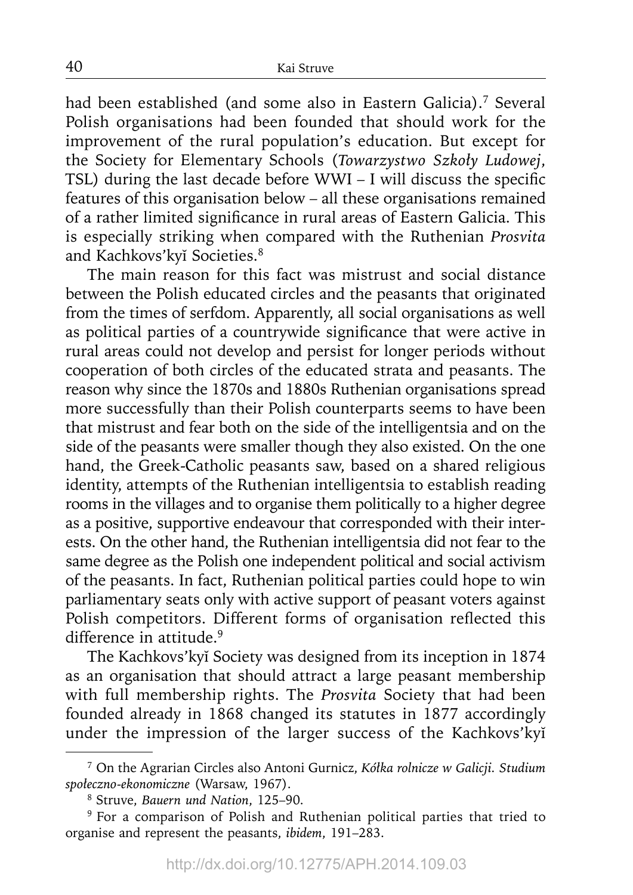had been established (and some also in Eastern Galicia).<sup>7</sup> Several Polish organisations had been founded that should work for the improvement of the rural population's education. But except for the Society for Elementary Schools (*Towarzystwo Szkoły Ludowej*, TSL) during the last decade before  $WWI - I$  will discuss the specific features of this organisation below – all these organisations remained of a rather limited significance in rural areas of Eastern Galicia. This is especially striking when compared with the Ruthenian *Prosvita* and Kachkovs'kyĭ Societies.8

The main reason for this fact was mistrust and social distance between the Polish educated circles and the peasants that originated from the times of serfdom. Apparently, all social organisations as well as political parties of a countrywide significance that were active in rural areas could not develop and persist for longer periods without cooperation of both circles of the educated strata and peasants. The reason why since the 1870s and 1880s Ruthenian organisations spread more successfully than their Polish counterparts seems to have been that mistrust and fear both on the side of the intelligentsia and on the side of the peasants were smaller though they also existed. On the one hand, the Greek-Catholic peasants saw, based on a shared religious identity, attempts of the Ruthenian intelligentsia to establish reading rooms in the villages and to organise them politically to a higher degree as a positive, supportive endeavour that corresponded with their interests. On the other hand, the Ruthenian intelligentsia did not fear to the same degree as the Polish one independent political and social activism of the peasants. In fact, Ruthenian political parties could hope to win parliamentary seats only with active support of peasant voters against Polish competitors. Different forms of organisation reflected this difference in attitude.<sup>9</sup>

The Kachkovs'kyĭ Society was designed from its inception in 1874 as an organisation that should attract a large peasant membership with full membership rights. The *Prosvita* Society that had been founded already in 1868 changed its statutes in 1877 accordingly under the impression of the larger success of the Kachkovs'kyĭ

<sup>7</sup> On the Agrarian Circles also Antoni Gurnicz, *Kółka rolnicze w Galicji. Studium społeczno-ekonomiczne* (Warsaw, 1967).

<sup>8</sup> Struve, *Bauern und Nation*, 125–90.

<sup>&</sup>lt;sup>9</sup> For a comparison of Polish and Ruthenian political parties that tried to organise and represent the peasants, *ibidem*, 191–283.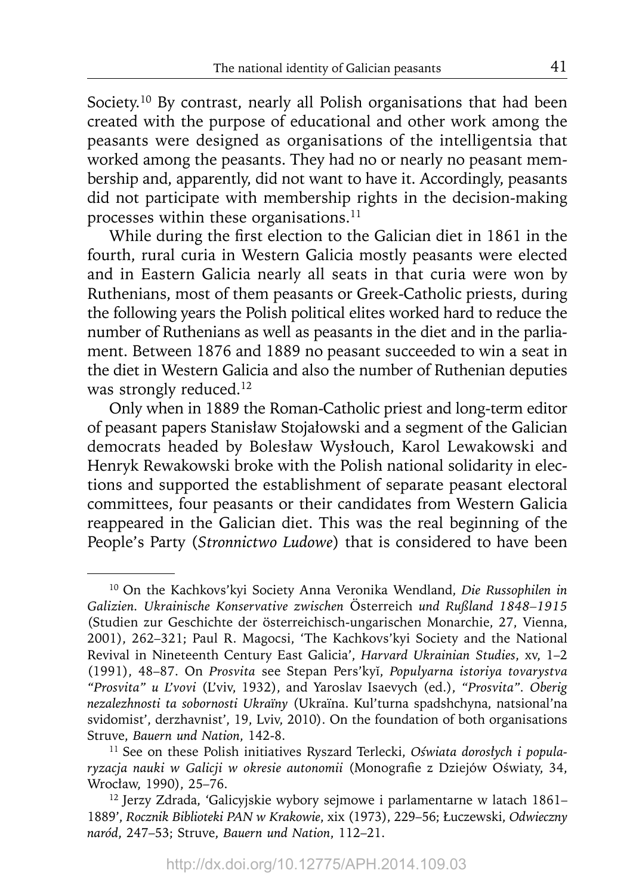Society.<sup>10</sup> By contrast, nearly all Polish organisations that had been created with the purpose of educational and other work among the peasants were designed as organisations of the intelligentsia that worked among the peasants. They had no or nearly no peasant membership and, apparently, did not want to have it. Accordingly, peasants did not participate with membership rights in the decision-making processes within these organisations.<sup>11</sup>

While during the first election to the Galician diet in 1861 in the fourth, rural curia in Western Galicia mostly peasants were elected and in Eastern Galicia nearly all seats in that curia were won by Ruthenians, most of them peasants or Greek-Catholic priests, during the following years the Polish political elites worked hard to reduce the number of Ruthenians as well as peasants in the diet and in the parliament. Between 1876 and 1889 no peasant succeeded to win a seat in the diet in Western Galicia and also the number of Ruthenian deputies was strongly reduced.<sup>12</sup>

Only when in 1889 the Roman-Catholic priest and long-term editor of peasant papers Stanisław Stojałowski and a segment of the Galician democrats headed by Bolesław Wysłouch, Karol Lewakowski and Henryk Rewakowski broke with the Polish national solidarity in elections and supported the establishment of separate peasant electoral committees, four peasants or their candidates from Western Galicia reappeared in the Galician diet. This was the real beginning of the People's Party (*Stronnictwo Ludowe*) that is considered to have been

<sup>10</sup> On the Kachkovs'kyi Society Anna Veronika Wendland, *Die Russophilen in Galizien. Ukrainische Konservative zwischen* Österreich *und Rußland 1848–1915* (Studien zur Geschichte der österreichisch-ungarischen Monarchie, 27, Vienna, 2001), 262–321; Paul R. Magocsi, 'The Kachkovs'kyi Society and the National Revival in Nineteenth Century East Galicia', *Harvard Ukrainian Studies*, xv, 1–2 (1991), 48–87. On *Prosvita* see Stepan Pers'kyĭ, *Populyarna istoriya tovarystva "Prosvita" u L'vovi* (L'viv, 1932), and Yaroslav Isaevych (ed.), *"Prosvita". Oberig nezalezhnosti ta sobornosti Ukraïny* (Ukraïna. Kul'turna spadshchyna, natsional'na svidomist', derzhavnist', 19, Lviv, 2010). On the foundation of both organisations Struve, *Bauern und Nation*, 142-8. 11 See on these Polish initiatives Ryszard Terlecki, *Oświata dorosłych i popula-*

*ryzacja nauki w Galicji w okresie autonomii* (Monografi e z Dziejów Oświaty, 34, Wrocław, 1990), 25–76.

<sup>12</sup> Jerzy Zdrada, 'Galicyjskie wybory sejmowe i parlamentarne w latach 1861– 1889', *Rocznik Biblioteki PAN w Krakowie*, xix (1973), 229–56; Łuczewski, *Odwieczny naród*, 247–53; Struve, *Bauern und Nation*, 112–21.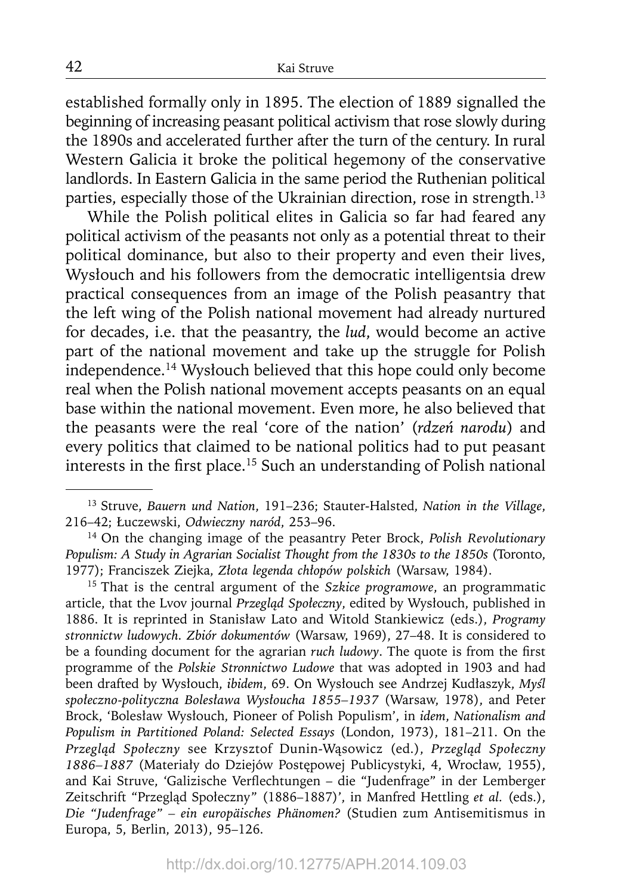established formally only in 1895. The election of 1889 signalled the beginning of increasing peasant political activism that rose slowly during the 1890s and accelerated further after the turn of the century. In rural Western Galicia it broke the political hegemony of the conservative landlords. In Eastern Galicia in the same period the Ruthenian political parties, especially those of the Ukrainian direction, rose in strength.<sup>13</sup>

While the Polish political elites in Galicia so far had feared any political activism of the peasants not only as a potential threat to their political dominance, but also to their property and even their lives, Wysłouch and his followers from the democratic intelligentsia drew practical consequences from an image of the Polish peasantry that the left wing of the Polish national movement had already nurtured for decades, i.e. that the peasantry, the *lud*, would become an active part of the national movement and take up the struggle for Polish independence.14 Wysłouch believed that this hope could only become real when the Polish national movement accepts peasants on an equal base within the national movement. Even more, he also believed that the peasants were the real 'core of the nation' (*rdzeń narodu*) and every politics that claimed to be national politics had to put peasant interests in the first place.<sup>15</sup> Such an understanding of Polish national

15 That is the central argument of the *Szkice programowe*, an programmatic article, that the Lvov journal *Przegląd Społeczny*, edited by Wysłouch, published in 1886. It is reprinted in Stanisław Lato and Witold Stankiewicz (eds.), *Programy stronnictw ludowych. Zbiór dokumentów* (Warsaw, 1969), 27–48. It is considered to be a founding document for the agrarian *ruch ludowy*. The quote is from the first programme of the *Polskie Stronnictwo Ludowe* that was adopted in 1903 and had been drafted by Wysłouch, *ibidem*, 69. On Wysłouch see Andrzej Kudłaszyk, *Myśl społeczno-polityczna Bolesława Wysłoucha 1855–1937* (Warsaw, 1978), and Peter Brock, 'Bolesław Wysłouch, Pioneer of Polish Populism', in *idem*, *Nationalism and Populism in Partitioned Poland: Selected Essays* (London, 1973), 181–211. On the *Przegląd Społeczny* see Krzysztof Dunin-Wąsowicz (ed.), *Przegląd Społeczny 1886–1887* (Materiały do Dziejów Postępowej Publicystyki, 4, Wrocław, 1955), and Kai Struve, 'Galizische Verflechtungen – die "Judenfrage" in der Lemberger Zeitschrift "Przegląd Społeczny" (1886–1887)', in Manfred Hettling *et al.* (eds.), *Die "Judenfrage" – ein europäisches Phänomen?* (Studien zum Antisemitismus in Europa, 5, Berlin, 2013), 95–126.

<sup>13</sup> Struve, *Bauern und Nation*, 191–236; Stauter-Halsted, *Nation in the Village*, 216–42; Łuczewski, *Odwieczny naród*, 253–96.

<sup>14</sup> On the changing image of the peasantry Peter Brock, *Polish Revolutionary Populism: A Study in Agrarian Socialist Thought from the 1830s to the 1850s* (Toronto, 1977); Franciszek Ziejka, *Złota legenda chłopów polskich* (Warsaw, 1984).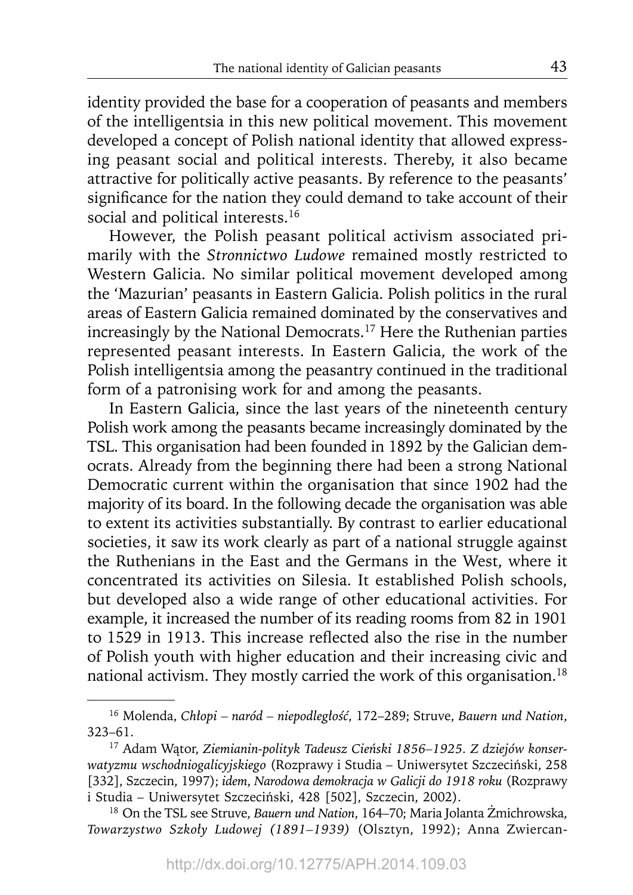identity provided the base for a cooperation of peasants and members of the intelligentsia in this new political movement. This movement developed a concept of Polish national identity that allowed expressing peasant social and political interests. Thereby, it also became attractive for politically active peasants. By reference to the peasants' significance for the nation they could demand to take account of their social and political interests.<sup>16</sup>

However, the Polish peasant political activism associated primarily with the *Stronnictwo Ludowe* remained mostly restricted to Western Galicia. No similar political movement developed among the 'Mazurian' peasants in Eastern Galicia. Polish politics in the rural areas of Eastern Galicia remained dominated by the conservatives and increasingly by the National Democrats.17 Here the Ruthenian parties represented peasant interests. In Eastern Galicia, the work of the Polish intelligentsia among the peasantry continued in the traditional form of a patronising work for and among the peasants.

In Eastern Galicia, since the last years of the nineteenth century Polish work among the peasants became increasingly dominated by the TSL. This organisation had been founded in 1892 by the Galician democrats. Already from the beginning there had been a strong National Democratic current within the organisation that since 1902 had the majority of its board. In the following decade the organisation was able to extent its activities substantially. By contrast to earlier educational societies, it saw its work clearly as part of a national struggle against the Ruthenians in the East and the Germans in the West, where it concentrated its activities on Silesia. It established Polish schools, but developed also a wide range of other educational activities. For example, it increased the number of its reading rooms from 82 in 1901 to 1529 in 1913. This increase reflected also the rise in the number of Polish youth with higher education and their increasing civic and national activism. They mostly carried the work of this organisation.<sup>18</sup>

<sup>16</sup> Molenda, *Chłopi – naród – niepodległość*, 172–289; Struve, *Bauern und Nation*, 323–61.

<sup>17</sup> Adam Wątor, *Ziemianin-polityk Tadeusz Cieński 1856–1925. Z dziejów konserwatyzmu wschodniogalicyjskiego* (Rozprawy i Studia – Uniwersytet Szczeciński, 258 [332], Szczecin, 1997); *idem*, *Narodowa demokracja w Galicji do 1918 roku* (Rozprawy i Studia – Uniwersytet Szczeciński, 428 [502], Szczecin, 2002).

<sup>18</sup> On the TSL see Struve, *Bauern und Nation*, 164–70; Maria Jolanta Żmichrowska, *Towarzystwo Szkoły Ludowej (1891–1939)* (Olsztyn, 1992); Anna Zwiercan-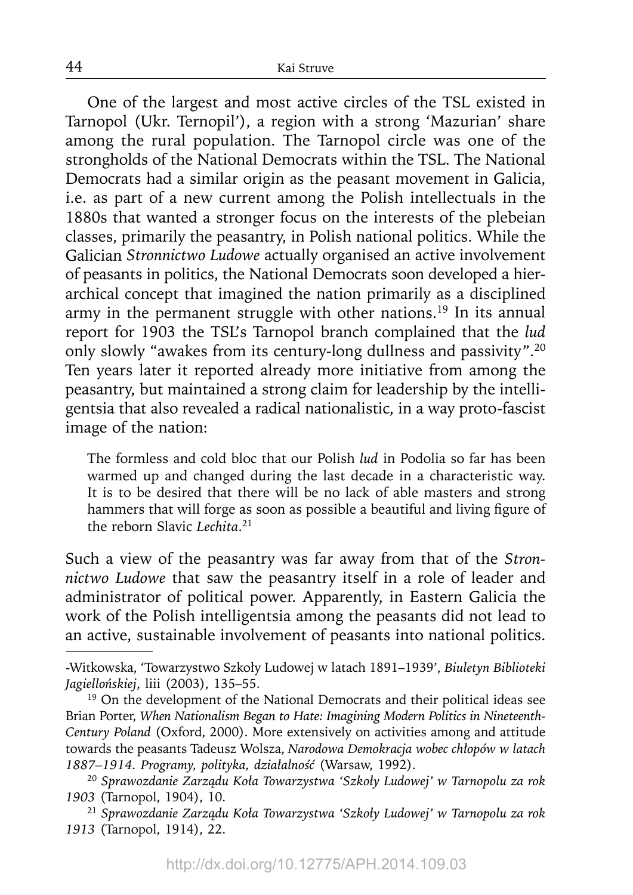One of the largest and most active circles of the TSL existed in Tarnopol (Ukr. Ternopil'), a region with a strong 'Mazurian' share among the rural population. The Tarnopol circle was one of the strongholds of the National Democrats within the TSL. The National Democrats had a similar origin as the peasant movement in Galicia, i.e. as part of a new current among the Polish intellectuals in the 1880s that wanted a stronger focus on the interests of the plebeian classes, primarily the peasantry, in Polish national politics. While the Galician *Stronnictwo Ludowe* actually organised an active involvement of peasants in politics, the National Democrats soon developed a hierarchical concept that imagined the nation primarily as a disciplined army in the permanent struggle with other nations.<sup>19</sup> In its annual report for 1903 the TSL's Tarnopol branch complained that the *lud* only slowly "awakes from its century-long dullness and passivity".20 Ten years later it reported already more initiative from among the peasantry, but maintained a strong claim for leadership by the intelligentsia that also revealed a radical nationalistic, in a way proto-fascist image of the nation:

The formless and cold bloc that our Polish *lud* in Podolia so far has been warmed up and changed during the last decade in a characteristic way. It is to be desired that there will be no lack of able masters and strong hammers that will forge as soon as possible a beautiful and living figure of the reborn Slavic *Lechita*. 21

Such a view of the peasantry was far away from that of the *Stronnictwo Ludowe* that saw the peasantry itself in a role of leader and administrator of political power. Apparently, in Eastern Galicia the work of the Polish intelligentsia among the peasants did not lead to an active, sustainable involvement of peasants into national politics.

<sup>20</sup>*Sprawozdanie Zarządu Koła Towarzystwa 'Szkoły Ludowej' w Tarnopolu za rok 1903* (Tarnopol, 1904), 10.

<sup>21</sup>*Sprawozdanie Zarządu Koła Towarzystwa 'Szkoły Ludowej' w Tarnopolu za rok 1913* (Tarnopol, 1914), 22.

44

<sup>-</sup>Witkowska, 'Towarzystwo Szkoły Ludowej w latach 1891–1939', *Biuletyn Biblioteki Jagiellońskiej*, liii (2003), 135–55.

<sup>&</sup>lt;sup>19</sup> On the development of the National Democrats and their political ideas see Brian Porter, *When Nationalism Began to Hate: Imagining Modern Politics in Nineteenth-Century Poland* (Oxford, 2000). More extensively on activities among and attitude towards the peasants Tadeusz Wolsza, *Narodowa Demokracja wobec chłopów w latach 1887–1914. Programy, polityka, działalność* (Warsaw, 1992).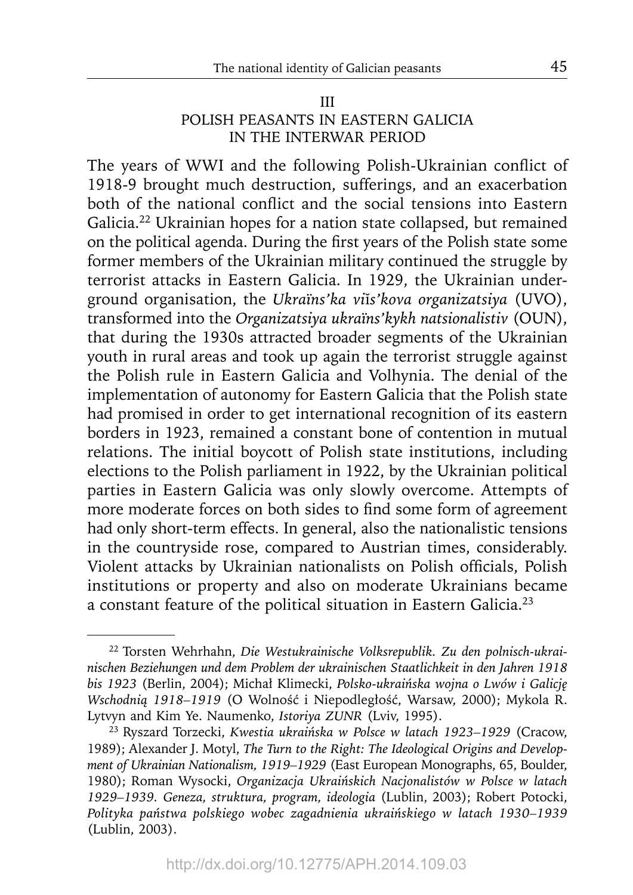#### III

## POLISH PEASANTS IN EASTERN GALICIA IN THE INTERWAR PERIOD

The years of WWI and the following Polish-Ukrainian conflict of 1918-9 brought much destruction, sufferings, and an exacerbation both of the national conflict and the social tensions into Eastern Galicia.22 Ukrainian hopes for a nation state collapsed, but remained on the political agenda. During the first years of the Polish state some former members of the Ukrainian military continued the struggle by terrorist attacks in Eastern Galicia. In 1929, the Ukrainian underground organisation, the *Ukraïns'ka vi*ĭ*s'kova organizatsiya* (UVO), transformed into the *Organizatsiya ukraïns'kykh natsionalistiv* (OUN), that during the 1930s attracted broader segments of the Ukrainian youth in rural areas and took up again the terrorist struggle against the Polish rule in Eastern Galicia and Volhynia. The denial of the implementation of autonomy for Eastern Galicia that the Polish state had promised in order to get international recognition of its eastern borders in 1923, remained a constant bone of contention in mutual relations. The initial boycott of Polish state institutions, including elections to the Polish parliament in 1922, by the Ukrainian political parties in Eastern Galicia was only slowly overcome. Attempts of more moderate forces on both sides to find some form of agreement had only short-term effects. In general, also the nationalistic tensions in the countryside rose, compared to Austrian times, considerably. Violent attacks by Ukrainian nationalists on Polish officials, Polish institutions or property and also on moderate Ukrainians became a constant feature of the political situation in Eastern Galicia.23

<sup>22</sup> Torsten Wehrhahn, *Die Westukrainische Volksrepublik. Zu den polnisch-ukrainischen Beziehungen und dem Problem der ukrainischen Staatlichkeit in den Jahren 1918 bis 1923* (Berlin, 2004); Michał Klimecki, *Polsko-ukraińska wojna o Lwów i Galicję Wschodnią 1918–1919* (O Wolność i Niepodległość, Warsaw, 2000); Mykola R.

Lytvyn and Kim Ye. Naumenko, *Istoriya ZUNR* (Lviv, 1995). 23 Ryszard Torzecki, *Kwestia ukraińska w Polsce w latach 1923–1929* (Cracow, 1989); Alexander J. Motyl, *The Turn to the Right: The Ideological Origins and Development of Ukrainian Nationalism, 1919–1929* (East European Monographs, 65, Boulder, 1980); Roman Wysocki, *Organizacja Ukraińskich Nacjonalistów w Polsce w latach 1929–1939. Geneza, struktura, program, ideologia* (Lublin, 2003); Robert Potocki, *Polityka państwa polskiego wobec zagadnienia ukraińskiego w latach 1930–1939* (Lublin, 2003).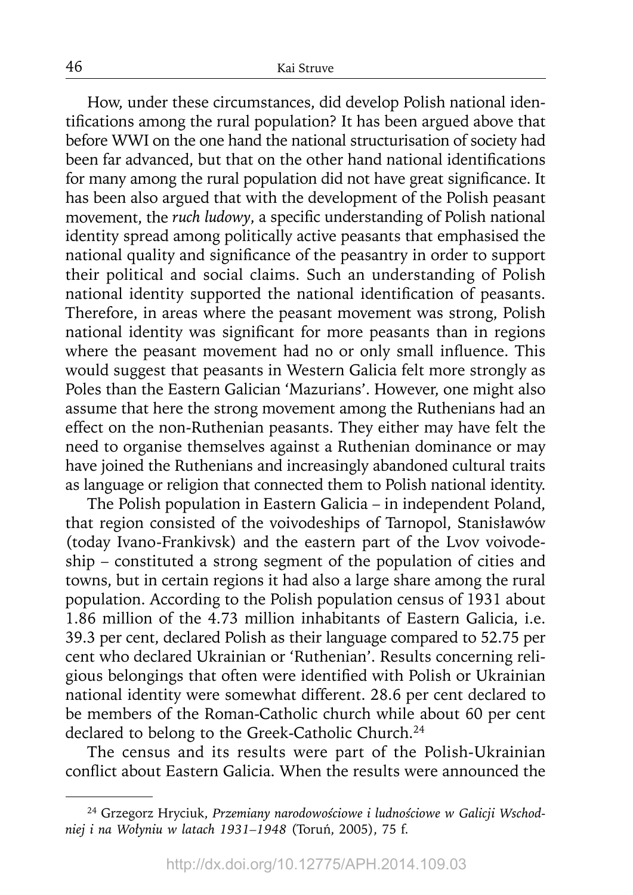How, under these circumstances, did develop Polish national identifications among the rural population? It has been argued above that before WWI on the one hand the national structurisation of society had been far advanced, but that on the other hand national identifications for many among the rural population did not have great significance. It has been also argued that with the development of the Polish peasant movement, the *ruch ludowy*, a specific understanding of Polish national identity spread among politically active peasants that emphasised the national quality and significance of the peasantry in order to support their political and social claims. Such an understanding of Polish national identity supported the national identification of peasants. Therefore, in areas where the peasant movement was strong, Polish national identity was significant for more peasants than in regions where the peasant movement had no or only small influence. This would suggest that peasants in Western Galicia felt more strongly as Poles than the Eastern Galician 'Mazurians'. However, one might also assume that here the strong movement among the Ruthenians had an effect on the non-Ruthenian peasants. They either may have felt the need to organise themselves against a Ruthenian dominance or may have joined the Ruthenians and increasingly abandoned cultural traits as language or religion that connected them to Polish national identity.

The Polish population in Eastern Galicia – in independent Poland, that region consisted of the voivodeships of Tarnopol, Stanisławów (today Ivano-Frankivsk) and the eastern part of the Lvov voivodeship – constituted a strong segment of the population of cities and towns, but in certain regions it had also a large share among the rural population. According to the Polish population census of 1931 about 1.86 million of the 4.73 million inhabitants of Eastern Galicia, i.e. 39.3 per cent, declared Polish as their language compared to 52.75 per cent who declared Ukrainian or 'Ruthenian'. Results concerning religious belongings that often were identified with Polish or Ukrainian national identity were somewhat different. 28.6 per cent declared to be members of the Roman-Catholic church while about 60 per cent declared to belong to the Greek-Catholic Church.<sup>24</sup>

The census and its results were part of the Polish-Ukrainian conflict about Eastern Galicia. When the results were announced the

<sup>24</sup> Grzegorz Hryciuk, *Przemiany narodowościowe i ludnościowe w Galicji Wschodniej i na Wołyniu w latach 1931–1948* (Toruń, 2005), 75 f.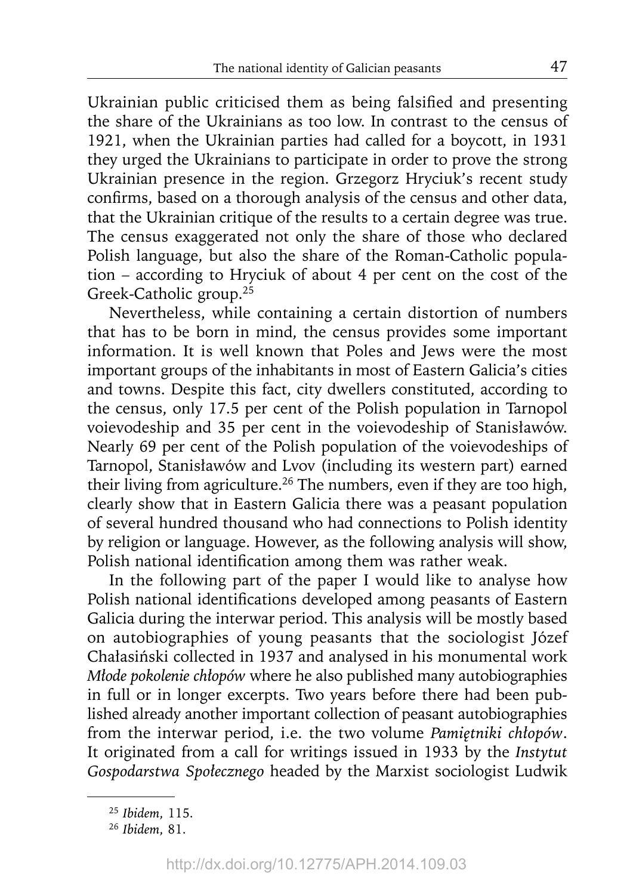Ukrainian public criticised them as being falsified and presenting the share of the Ukrainians as too low. In contrast to the census of 1921, when the Ukrainian parties had called for a boycott, in 1931 they urged the Ukrainians to participate in order to prove the strong Ukrainian presence in the region. Grzegorz Hryciuk's recent study confirms, based on a thorough analysis of the census and other data, that the Ukrainian critique of the results to a certain degree was true. The census exaggerated not only the share of those who declared Polish language, but also the share of the Roman-Catholic population – according to Hryciuk of about 4 per cent on the cost of the Greek-Catholic group.<sup>25</sup>

Nevertheless, while containing a certain distortion of numbers that has to be born in mind, the census provides some important information. It is well known that Poles and Jews were the most important groups of the inhabitants in most of Eastern Galicia's cities and towns. Despite this fact, city dwellers constituted, according to the census, only 17.5 per cent of the Polish population in Tarnopol voievodeship and 35 per cent in the voievodeship of Stanisławów. Nearly 69 per cent of the Polish population of the voievodeships of Tarnopol, Stanisławów and Lvov (including its western part) earned their living from agriculture.<sup>26</sup> The numbers, even if they are too high, clearly show that in Eastern Galicia there was a peasant population of several hundred thousand who had connections to Polish identity by religion or language. However, as the following analysis will show, Polish national identification among them was rather weak.

In the following part of the paper I would like to analyse how Polish national identifications developed among peasants of Eastern Galicia during the interwar period. This analysis will be mostly based on autobiographies of young peasants that the sociologist Józef Chałasiński collected in 1937 and analysed in his monumental work *Młode pokolenie chłopów* where he also published many autobiographies in full or in longer excerpts. Two years before there had been published already another important collection of peasant autobiographies from the interwar period, i.e. the two volume *Pamiętniki chłopów*. It originated from a call for writings issued in 1933 by the *Instytut Gospodarstwa Społecznego* headed by the Marxist sociologist Ludwik

<sup>25</sup>*Ibidem*, 115.

<sup>26</sup>*Ibidem*, 81.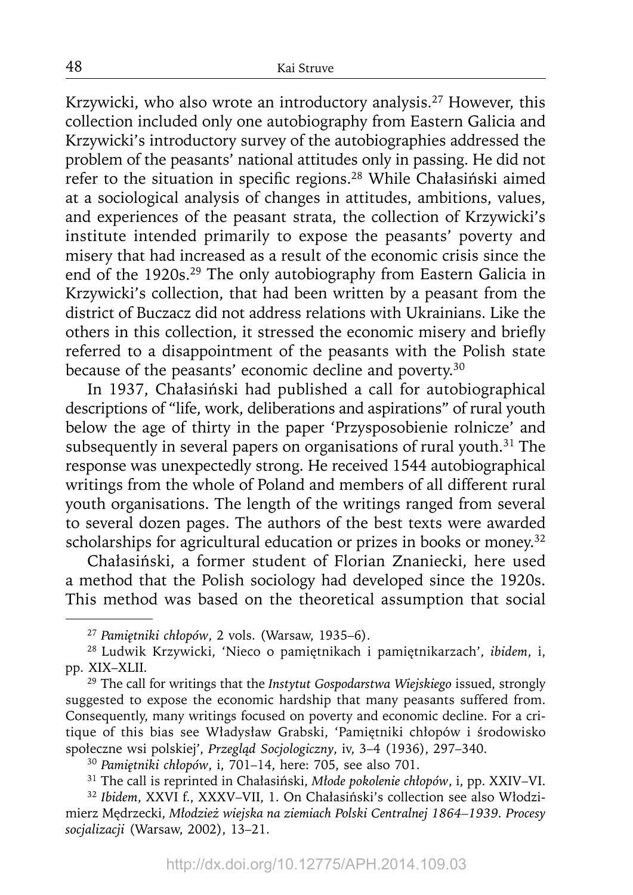Krzywicki, who also wrote an introductory analysis.27 However, this collection included only one autobiography from Eastern Galicia and Krzywicki's introductory survey of the autobiographies addressed the problem of the peasants' national attitudes only in passing. He did not refer to the situation in specific regions.<sup>28</sup> While Chałasiński aimed at a sociological analysis of changes in attitudes, ambitions, values, and experiences of the peasant strata, the collection of Krzywicki's institute intended primarily to expose the peasants' poverty and misery that had increased as a result of the economic crisis since the end of the 1920s.29 The only autobiography from Eastern Galicia in Krzywicki's collection, that had been written by a peasant from the district of Buczacz did not address relations with Ukrainians. Like the others in this collection, it stressed the economic misery and briefly referred to a disappointment of the peasants with the Polish state because of the peasants' economic decline and poverty.<sup>30</sup>

In 1937, Chałasiński had published a call for autobiographical descriptions of "life, work, deliberations and aspirations" of rural youth below the age of thirty in the paper 'Przysposobienie rolnicze' and subsequently in several papers on organisations of rural youth.<sup>31</sup> The response was unexpectedly strong. He received 1544 autobiographical writings from the whole of Poland and members of all different rural youth organisations. The length of the writings ranged from several to several dozen pages. The authors of the best texts were awarded scholarships for agricultural education or prizes in books or money.<sup>32</sup>

Chałasiński, a former student of Florian Znaniecki, here used a method that the Polish sociology had developed since the 1920s. This method was based on the theoretical assumption that social

<sup>27</sup>*Pamiętniki chłopów*, 2 vols. (Warsaw, 1935–6).

<sup>28</sup> Ludwik Krzywicki, 'Nieco o pamiętnikach i pamiętnikarzach', *ibidem*, i, pp. XIX–XLII.

<sup>29</sup> The call for writings that the *Instytut Gospodarstwa Wiejskiego* issued, strongly suggested to expose the economic hardship that many peasants suffered from. Consequently, many writings focused on poverty and economic decline. For a critique of this bias see Władysław Grabski, 'Pamiętniki chłopów i środowisko społeczne wsi polskiej', *Przegląd Socjologiczny*, iv, 3–4 (1936), 297–340.

<sup>30</sup>*Pamiętniki chłopów*, i, 701–14, here: 705, see also 701.

<sup>31</sup> The call is reprinted in Chałasiński, *Młode pokolenie chłopów*, i, pp. XXIV–VI. <sup>32</sup> Ibidem, XXVI f., XXXV-VII, 1. On Chałasiński's collection see also Włodzimierz Mędrzecki, *Młodzież wiejska na ziemiach Polski Centralnej 1864–1939. Procesy socjalizacji* (Warsaw, 2002), 13–21.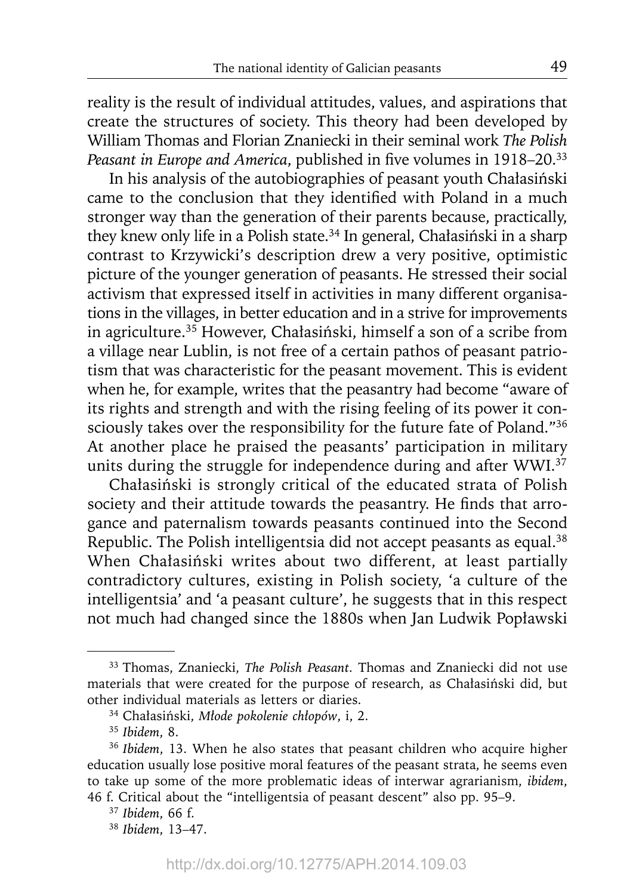reality is the result of individual attitudes, values, and aspirations that create the structures of society. This theory had been developed by William Thomas and Florian Znaniecki in their seminal work *The Polish Peasant in Europe and America, published in five volumes in 1918–20.*<sup>33</sup>

In his analysis of the autobiographies of peasant youth Chałasiński came to the conclusion that they identified with Poland in a much stronger way than the generation of their parents because, practically, they knew only life in a Polish state.<sup>34</sup> In general, Chałasiński in a sharp contrast to Krzywicki's description drew a very positive, optimistic picture of the younger generation of peasants. He stressed their social activism that expressed itself in activities in many different organisations in the villages, in better education and in a strive for improvements in agriculture.35 However, Chałasiński, himself a son of a scribe from a village near Lublin, is not free of a certain pathos of peasant patriotism that was characteristic for the peasant movement. This is evident when he, for example, writes that the peasantry had become "aware of its rights and strength and with the rising feeling of its power it consciously takes over the responsibility for the future fate of Poland."36 At another place he praised the peasants' participation in military units during the struggle for independence during and after WWI.<sup>37</sup>

Chałasiński is strongly critical of the educated strata of Polish society and their attitude towards the peasantry. He finds that arrogance and paternalism towards peasants continued into the Second Republic. The Polish intelligentsia did not accept peasants as equal.<sup>38</sup> When Chałasiński writes about two different, at least partially contradictory cultures, existing in Polish society, 'a culture of the intelligentsia' and 'a peasant culture', he suggests that in this respect not much had changed since the 1880s when Jan Ludwik Popławski

<sup>33</sup> Thomas, Znaniecki, *The Polish Peasant.* Thomas and Znaniecki did not use materials that were created for the purpose of research, as Chałasiński did, but other individual materials as letters or diaries.

<sup>34</sup> Chałasiński, *Młode pokolenie chłopów*, i, 2.

<sup>35</sup>*Ibidem*, 8.

<sup>36</sup>*Ibidem*, 13. When he also states that peasant children who acquire higher education usually lose positive moral features of the peasant strata, he seems even to take up some of the more problematic ideas of interwar agrarianism, *ibidem*, 46 f. Critical about the "intelligentsia of peasant descent" also pp. 95–9.

<sup>37</sup>*Ibidem*, 66 f.

<sup>38</sup>*Ibidem*, 13–47.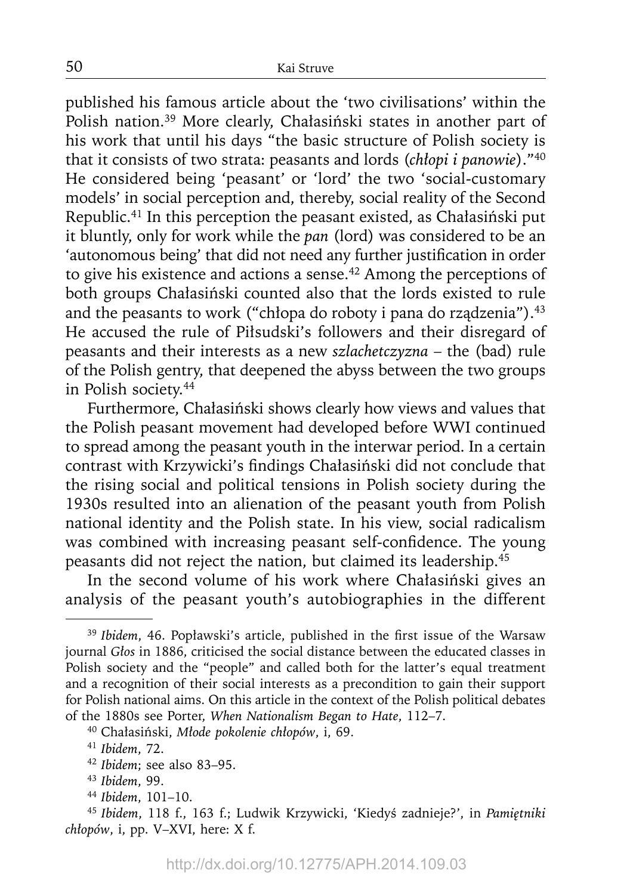published his famous article about the 'two civilisations' within the Polish nation.39 More clearly, Chałasiński states in another part of his work that until his days "the basic structure of Polish society is that it consists of two strata: peasants and lords (*chłopi i panowie*)."40 He considered being 'peasant' or 'lord' the two 'social-customary models' in social perception and, thereby, social reality of the Second Republic.41 In this perception the peasant existed, as Chałasiński put it bluntly, only for work while the *pan* (lord) was considered to be an 'autonomous being' that did not need any further justification in order to give his existence and actions a sense.<sup>42</sup> Among the perceptions of both groups Chałasiński counted also that the lords existed to rule and the peasants to work ("chłopa do roboty i pana do rządzenia").<sup>43</sup> He accused the rule of Piłsudski's followers and their disregard of peasants and their interests as a new *szlachetczyzna* – the (bad) rule of the Polish gentry, that deepened the abyss between the two groups in Polish society.44

Furthermore, Chałasiński shows clearly how views and values that the Polish peasant movement had developed before WWI continued to spread among the peasant youth in the interwar period. In a certain contrast with Krzywicki's findings Chałasiński did not conclude that the rising social and political tensions in Polish society during the 1930s resulted into an alienation of the peasant youth from Polish national identity and the Polish state. In his view, social radicalism was combined with increasing peasant self-confidence. The young peasants did not reject the nation, but claimed its leadership.<sup>45</sup>

In the second volume of his work where Chałasiński gives an analysis of the peasant youth's autobiographies in the different

<sup>&</sup>lt;sup>39</sup> Ibidem, 46. Popławski's article, published in the first issue of the Warsaw journal *Głos* in 1886, criticised the social distance between the educated classes in Polish society and the "people" and called both for the latter's equal treatment and a recognition of their social interests as a precondition to gain their support for Polish national aims. On this article in the context of the Polish political debates of the 1880s see Porter, *When Nationalism Began to Hate*, 112–7.

<sup>40</sup> Chałasiński, *Młode pokolenie chłopów*, i, 69.

<sup>41</sup>*Ibidem*, 72.

<sup>42</sup>*Ibidem*; see also 83–95.

<sup>43</sup>*Ibidem*, 99.

<sup>44</sup>*Ibidem*, 101–10. 45 *Ibidem*, 118 f., 163 f.; Ludwik Krzywicki, 'Kiedyś zadnieje?', in *Pamiętniki chłopów*, i, pp. V–XVI, here: X f.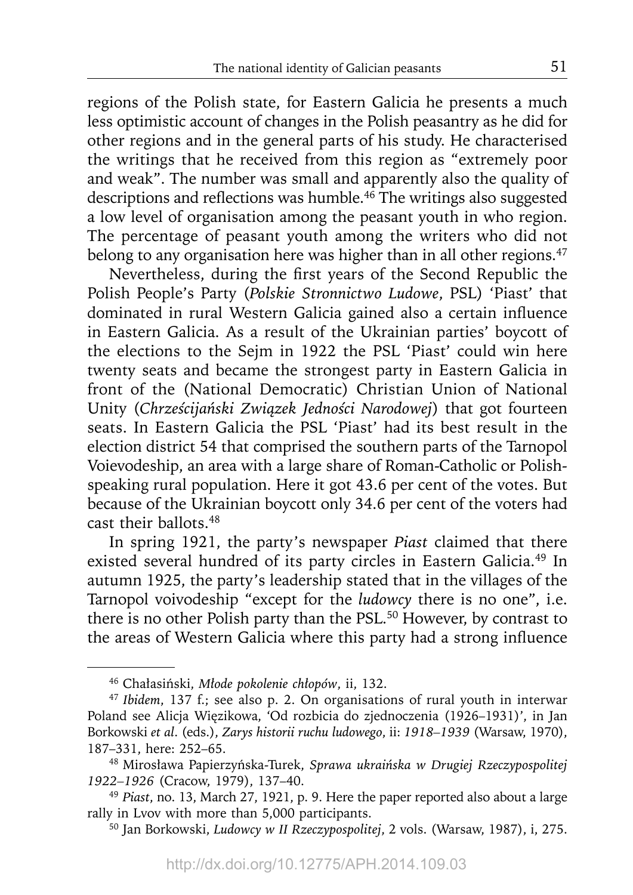regions of the Polish state, for Eastern Galicia he presents a much less optimistic account of changes in the Polish peasantry as he did for other regions and in the general parts of his study. He characterised the writings that he received from this region as "extremely poor and weak". The number was small and apparently also the quality of descriptions and reflections was humble.<sup>46</sup> The writings also suggested a low level of organisation among the peasant youth in who region. The percentage of peasant youth among the writers who did not belong to any organisation here was higher than in all other regions.<sup>47</sup>

Nevertheless, during the first years of the Second Republic the Polish People's Party (*Polskie Stronnictwo Ludowe*, PSL) 'Piast' that dominated in rural Western Galicia gained also a certain influence in Eastern Galicia. As a result of the Ukrainian parties' boycott of the elections to the Sejm in 1922 the PSL 'Piast' could win here twenty seats and became the strongest party in Eastern Galicia in front of the (National Democratic) Christian Union of National Unity (*Chrześcijański Związek Jedności Narodowej*) that got fourteen seats. In Eastern Galicia the PSL 'Piast' had its best result in the election district 54 that comprised the southern parts of the Tarnopol Voievodeship, an area with a large share of Roman-Catholic or Polishspeaking rural population. Here it got 43.6 per cent of the votes. But because of the Ukrainian boycott only 34.6 per cent of the voters had cast their ballots.48

In spring 1921, the party's newspaper *Piast* claimed that there existed several hundred of its party circles in Eastern Galicia.<sup>49</sup> In autumn 1925, the party's leadership stated that in the villages of the Tarnopol voivodeship "except for the *ludowcy* there is no one", i.e. there is no other Polish party than the PSL.<sup>50</sup> However, by contrast to the areas of Western Galicia where this party had a strong influence

<sup>46</sup> Chałasiński, *Młode pokolenie chłopów*, ii, 132. 47 *Ibidem*, 137 f.; see also p. 2. On organisations of rural youth in interwar Poland see Alicja Więzikowa, 'Od rozbicia do zjednoczenia (1926–1931)', in Jan Borkowski *et al*. (eds.), *Zarys historii ruchu ludowego*, ii: *1918–1939* (Warsaw, 1970), 187–331, here: 252–65.

<sup>48</sup> Mirosława Papierzyńska-Turek, *Sprawa ukraińska w Drugiej Rzeczypospolitej 1922–1926* (Cracow, 1979), 137–40.

<sup>49</sup>*Piast*, no. 13, March 27, 1921, p. 9. Here the paper reported also about a large rally in Lvov with more than 5,000 participants.

<sup>50</sup> Jan Borkowski, *Ludowcy w II Rzeczypospolitej*, 2 vols. (Warsaw, 1987), i, 275.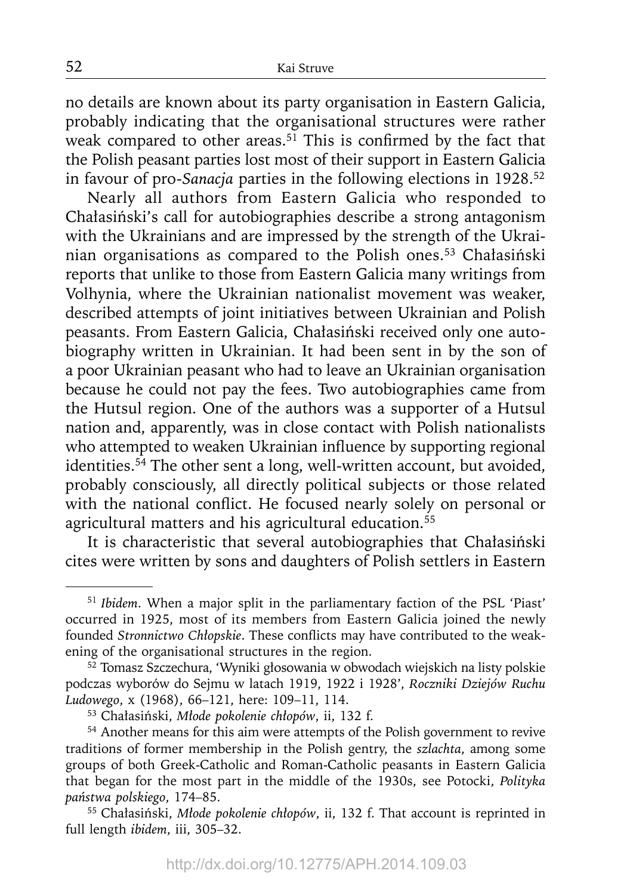no details are known about its party organisation in Eastern Galicia, probably indicating that the organisational structures were rather weak compared to other areas.<sup>51</sup> This is confirmed by the fact that the Polish peasant parties lost most of their support in Eastern Galicia in favour of pro-*Sanacja* parties in the following elections in 1928.52

Nearly all authors from Eastern Galicia who responded to Chałasiński's call for autobiographies describe a strong antagonism with the Ukrainians and are impressed by the strength of the Ukrainian organisations as compared to the Polish ones.53 Chałasiński reports that unlike to those from Eastern Galicia many writings from Volhynia, where the Ukrainian nationalist movement was weaker, described attempts of joint initiatives between Ukrainian and Polish peasants. From Eastern Galicia, Chałasiński received only one autobiography written in Ukrainian. It had been sent in by the son of a poor Ukrainian peasant who had to leave an Ukrainian organisation because he could not pay the fees. Two autobiographies came from the Hutsul region. One of the authors was a supporter of a Hutsul nation and, apparently, was in close contact with Polish nationalists who attempted to weaken Ukrainian influence by supporting regional identities.<sup>54</sup> The other sent a long, well-written account, but avoided, probably consciously, all directly political subjects or those related with the national conflict. He focused nearly solely on personal or agricultural matters and his agricultural education.<sup>55</sup>

It is characteristic that several autobiographies that Chałasiński cites were written by sons and daughters of Polish settlers in Eastern

<sup>51</sup>*Ibidem*. When a major split in the parliamentary faction of the PSL 'Piast' occurred in 1925, most of its members from Eastern Galicia joined the newly founded *Stronnictwo Chłopskie*. These conflicts may have contributed to the weakening of the organisational structures in the region.

<sup>&</sup>lt;sup>52</sup> Tomasz Szczechura, 'Wyniki głosowania w obwodach wiejskich na listy polskie podczas wyborów do Sejmu w latach 1919, 1922 i 1928', *Roczniki Dziejów Ruchu Ludowego*, x (1968), 66–121, here: 109–11, 114.

<sup>53</sup> Chałasiński, *Młode pokolenie chłopów*, ii, 132 f.

<sup>54</sup> Another means for this aim were attempts of the Polish government to revive traditions of former membership in the Polish gentry, the *szlachta*, among some groups of both Greek-Catholic and Roman-Catholic peasants in Eastern Galicia that began for the most part in the middle of the 1930s, see Potocki, *Polityka państwa polskiego*, 174–85.

<sup>55</sup> Chałasiński, *Młode pokolenie chłopów*, ii, 132 f. That account is reprinted in full length *ibidem*, iii, 305–32.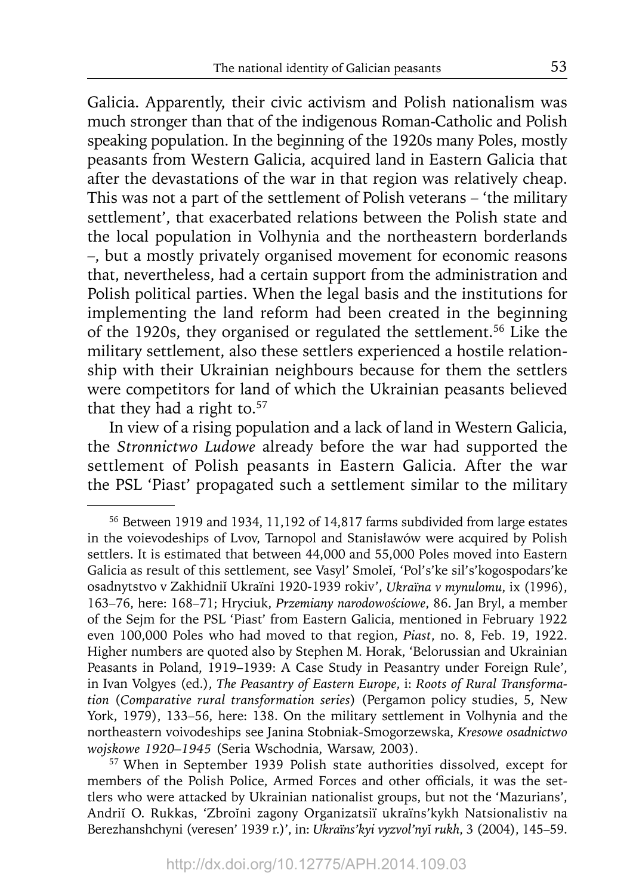Galicia. Apparently, their civic activism and Polish nationalism was much stronger than that of the indigenous Roman-Catholic and Polish speaking population. In the beginning of the 1920s many Poles, mostly peasants from Western Galicia, acquired land in Eastern Galicia that after the devastations of the war in that region was relatively cheap. This was not a part of the settlement of Polish veterans – 'the military settlement', that exacerbated relations between the Polish state and the local population in Volhynia and the northeastern borderlands –, but a mostly privately organised movement for economic reasons that, nevertheless, had a certain support from the administration and Polish political parties. When the legal basis and the institutions for implementing the land reform had been created in the beginning of the 1920s, they organised or regulated the settlement.56 Like the military settlement, also these settlers experienced a hostile relationship with their Ukrainian neighbours because for them the settlers were competitors for land of which the Ukrainian peasants believed that they had a right to.<sup>57</sup>

In view of a rising population and a lack of land in Western Galicia, the *Stronnictwo Ludowe* already before the war had supported the settlement of Polish peasants in Eastern Galicia. After the war the PSL 'Piast' propagated such a settlement similar to the military

57 When in September 1939 Polish state authorities dissolved, except for members of the Polish Police, Armed Forces and other officials, it was the settlers who were attacked by Ukrainian nationalist groups, but not the 'Mazurians', Andriĭ O. Rukkas, 'Zbroĭni zagony Organizatsiï ukraïns'kykh Natsionalistiv na Berezhan shchyni (veresen' 1939 r.)', in: *Ukraïns'kyi vyzvol'ny*ĭ *rukh*, 3 (2004), 145–59.

<sup>56</sup> Between 1919 and 1934, 11,192 of 14,817 farms subdivided from large estates in the voievodeships of Lvov, Tarnopol and Stanisławów were acquired by Polish settlers. It is estimated that between 44,000 and 55,000 Poles moved into Eastern Galicia as result of this settlement, see Vasyl' Smoleĭ, 'Pol's'ke sil's'kogospodars'ke osadnytstvo v Zakhidniĭ Ukraïni 1920-1939 rokiv', *Ukraïna v mynulomu*, ix (1996), 163–76, here: 168–71; Hryciuk, *Przemiany narodowościowe*, 86. Jan Bryl, a member of the Sejm for the PSL 'Piast' from Eastern Galicia, mentioned in February 1922 even 100,000 Poles who had moved to that region, *Piast*, no. 8, Feb. 19, 1922. Higher numbers are quoted also by Stephen M. Horak, 'Belorussian and Ukrainian Peasants in Poland, 1919–1939: A Case Study in Peasantry under Foreign Rule', in Ivan Volgyes (ed.), *The Peasantry of Eastern Europe*, i: *Roots of Rural Transformation* (*Comparative rural transformation series*) (Pergamon policy studies, 5, New York, 1979), 133–56, here: 138. On the military settlement in Volhynia and the northeastern voivodeships see Janina Stobniak-Smogorzewska, *Kresowe osadnictwo wojskowe 1920–1945* (Seria Wschodnia, Warsaw, 2003).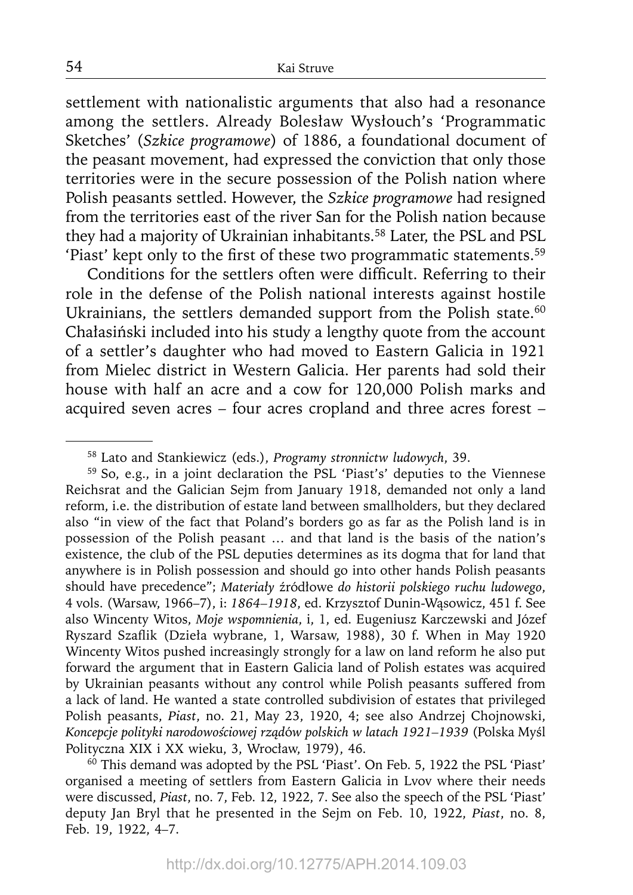settlement with nationalistic arguments that also had a resonance among the settlers. Already Bolesław Wysłouch's 'Programmatic Sketches' (*Szkice programowe*) of 1886, a foundational document of the peasant movement, had expressed the conviction that only those territories were in the secure possession of the Polish nation where Polish peasants settled. However, the *Szkice programowe* had resigned from the territories east of the river San for the Polish nation because they had a majority of Ukrainian inhabitants.<sup>58</sup> Later, the PSL and PSL 'Piast' kept only to the first of these two programmatic statements.<sup>59</sup>

Conditions for the settlers often were difficult. Referring to their role in the defense of the Polish national interests against hostile Ukrainians, the settlers demanded support from the Polish state.<sup>60</sup> Chałasiński included into his study a lengthy quote from the account of a settler's daughter who had moved to Eastern Galicia in 1921 from Mielec district in Western Galicia. Her parents had sold their house with half an acre and a cow for 120,000 Polish marks and acquired seven acres – four acres cropland and three acres forest –

59 So, e.g., in a joint declaration the PSL 'Piast's' deputies to the Viennese Reichsrat and the Galician Sejm from January 1918, demanded not only a land reform, i.e. the distribution of estate land between smallholders, but they declared also "in view of the fact that Poland's borders go as far as the Polish land is in possession of the Polish peasant … and that land is the basis of the nation's existence, the club of the PSL deputies determines as its dogma that for land that anywhere is in Polish possession and should go into other hands Polish peasants should have precedence"; *Materiały* źródłowe *do historii polskiego ruchu ludowego*, 4 vols. (Warsaw, 1966–7), i: *1864–1918*, ed. Krzysztof Dunin-Wąsowicz, 451 f. See also Wincenty Witos, *Moje wspomnienia*, i, 1, ed. Eugeniusz Karczewski and Józef Ryszard Szaflik (Dzieła wybrane, 1, Warsaw, 1988), 30 f. When in May 1920 Wincenty Witos pushed increasingly strongly for a law on land reform he also put forward the argument that in Eastern Galicia land of Polish estates was acquired by Ukrainian peasants without any control while Polish peasants suffered from a lack of land. He wanted a state controlled subdivision of estates that privileged Polish peasants, *Piast*, no. 21, May 23, 1920, 4; see also Andrzej Chojnowski, *Koncepcje polityki narodowościowej rząd*ó*w polskich w latach 1921–1939* (Polska Myśl Polityczna XIX i XX wieku, 3, Wrocław, 1979), 46.

60 This demand was adopted by the PSL 'Piast'. On Feb. 5, 1922 the PSL 'Piast' organised a meeting of settlers from Eastern Galicia in Lvov where their needs were discussed, *Piast*, no. 7, Feb. 12, 1922, 7. See also the speech of the PSL 'Piast' deputy Jan Bryl that he presented in the Sejm on Feb. 10, 1922, *Piast*, no. 8, Feb. 19, 1922, 4–7.

54

<sup>58</sup> Lato and Stankiewicz (eds.), *Programy stronnictw ludowych*, 39.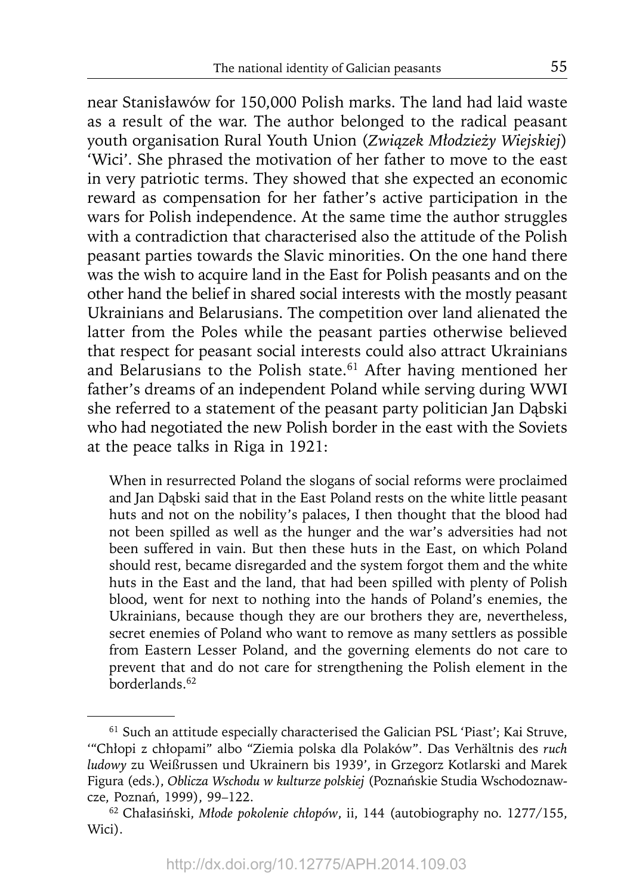near Stanisławów for 150,000 Polish marks. The land had laid waste as a result of the war. The author belonged to the radical peasant youth organisation Rural Youth Union (*Związek Młodzieży Wiejskiej*) 'Wici'. She phrased the motivation of her father to move to the east in very patriotic terms. They showed that she expected an economic reward as compensation for her father's active participation in the wars for Polish independence. At the same time the author struggles with a contradiction that characterised also the attitude of the Polish peasant parties towards the Slavic minorities. On the one hand there was the wish to acquire land in the East for Polish peasants and on the other hand the belief in shared social interests with the mostly peasant Ukrainians and Belarusians. The competition over land alienated the latter from the Poles while the peasant parties otherwise believed that respect for peasant social interests could also attract Ukrainians and Belarusians to the Polish state.<sup>61</sup> After having mentioned her father's dreams of an independent Poland while serving during WWI she referred to a statement of the peasant party politician Jan Dąbski who had negotiated the new Polish border in the east with the Soviets at the peace talks in Riga in 1921:

When in resurrected Poland the slogans of social reforms were proclaimed and Jan Dąbski said that in the East Poland rests on the white little peasant huts and not on the nobility's palaces, I then thought that the blood had not been spilled as well as the hunger and the war's adversities had not been suffered in vain. But then these huts in the East, on which Poland should rest, became disregarded and the system forgot them and the white huts in the East and the land, that had been spilled with plenty of Polish blood, went for next to nothing into the hands of Poland's enemies, the Ukrainians, because though they are our brothers they are, nevertheless, secret enemies of Poland who want to remove as many settlers as possible from Eastern Lesser Poland, and the governing elements do not care to prevent that and do not care for strengthening the Polish element in the borderlands<sup>62</sup>

<sup>61</sup> Such an attitude especially characterised the Galician PSL 'Piast'; Kai Struve, '"Chłopi z chłopami" albo "Ziemia polska dla Polaków". Das Verhältnis des *ruch ludowy* zu Weißrussen und Ukrainern bis 1939', in Grzegorz Kotlarski and Marek Figura (eds.), *Oblicza Wschodu w kulturze polskiej* (Poznańskie Studia Wschodoznawcze, Poznań, 1999), 99–122.

<sup>62</sup> Chałasiński, *Młode pokolenie chłopów*, ii, 144 (autobiography no. 1277/155, Wici).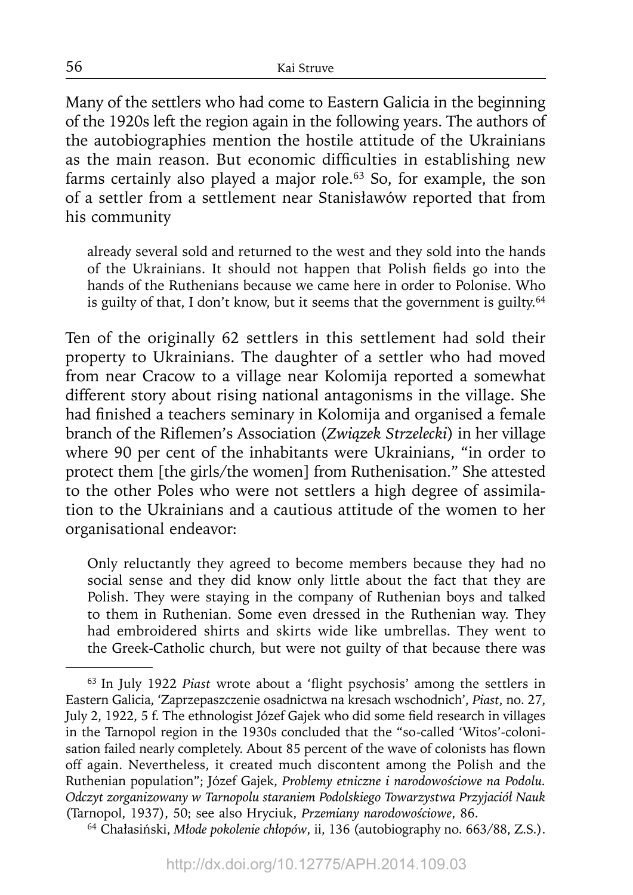Many of the settlers who had come to Eastern Galicia in the beginning of the 1920s left the region again in the following years. The authors of the autobiographies mention the hostile attitude of the Ukrainians as the main reason. But economic difficulties in establishing new farms certainly also played a major role.<sup>63</sup> So, for example, the son of a settler from a settlement near Stanisławów reported that from his community

already several sold and returned to the west and they sold into the hands of the Ukrainians. It should not happen that Polish fields go into the hands of the Ruthenians because we came here in order to Polonise. Who is guilty of that, I don't know, but it seems that the government is guilty.<sup>64</sup>

Ten of the originally 62 settlers in this settlement had sold their property to Ukrainians. The daughter of a settler who had moved from near Cracow to a village near Kolomija reported a somewhat different story about rising national antagonisms in the village. She had finished a teachers seminary in Kolomija and organised a female branch of the Riflemen's Association (*Związek Strzelecki*) in her village where 90 per cent of the inhabitants were Ukrainians, "in order to protect them [the girls/the women] from Ruthenisation." She attested to the other Poles who were not settlers a high degree of assimilation to the Ukrainians and a cautious attitude of the women to her organisational endeavor:

Only reluctantly they agreed to become members because they had no social sense and they did know only little about the fact that they are Polish. They were staying in the company of Ruthenian boys and talked to them in Ruthenian. Some even dressed in the Ruthenian way. They had embroidered shirts and skirts wide like umbrellas. They went to the Greek-Catholic church, but were not guilty of that because there was

64 Chałasiński, *Młode pokolenie chłopów*, ii, 136 (autobiography no. 663/88, Z.S.).

<sup>&</sup>lt;sup>63</sup> In July 1922 *Piast* wrote about a 'flight psychosis' among the settlers in Eastern Galicia, 'Zaprzepaszczenie osadnictwa na kresach wschodnich', *Piast*, no. 27, July 2, 1922, 5 f. The ethnologist Józef Gajek who did some field research in villages in the Tarnopol region in the 1930s concluded that the "so-called 'Witos'-colonisation failed nearly completely. About 85 percent of the wave of colonists has flown off again. Nevertheless, it created much discontent among the Polish and the Ruthenian population"; Józef Gajek, *Problemy etniczne i narodowościowe na Podolu. Odczyt zorganizowany w Tarnopolu staraniem Podolskiego Towarzystwa Przyjaciół Nauk*  (Tarnopol, 1937), 50; see also Hryciuk, *Przemiany narodowościowe*, 86.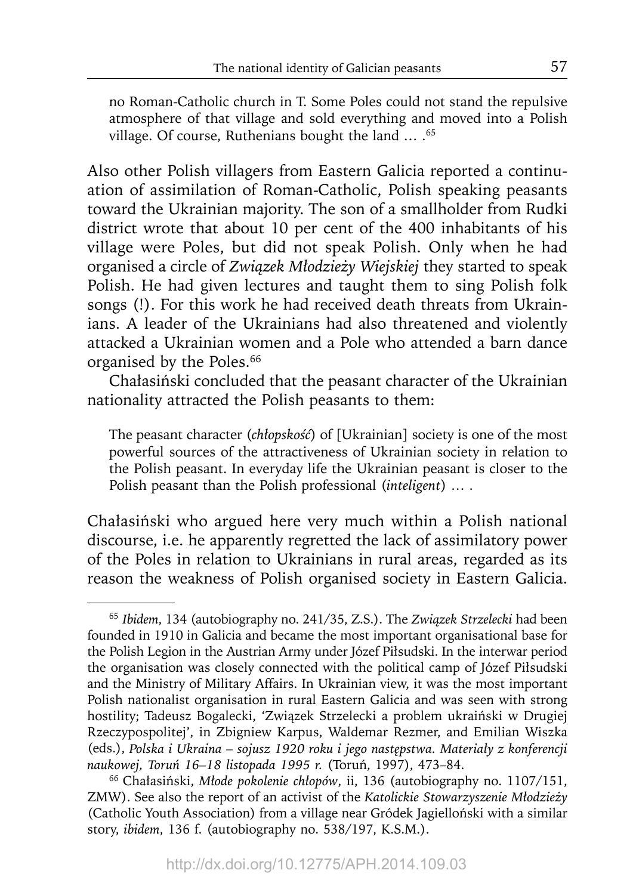no Roman-Catholic church in T. Some Poles could not stand the repulsive atmosphere of that village and sold everything and moved into a Polish village. Of course, Ruthenians bought the land ... .<sup>65</sup>

Also other Polish villagers from Eastern Galicia reported a continuation of assimilation of Roman-Catholic, Polish speaking peasants toward the Ukrainian majority. The son of a smallholder from Rudki district wrote that about 10 per cent of the 400 inhabitants of his village were Poles, but did not speak Polish. Only when he had organised a circle of *Związek Młodzieży Wiejskiej* they started to speak Polish. He had given lectures and taught them to sing Polish folk songs (!). For this work he had received death threats from Ukrainians. A leader of the Ukrainians had also threatened and violently attacked a Ukrainian women and a Pole who attended a barn dance organised by the Poles.<sup>66</sup>

Chałasiński concluded that the peasant character of the Ukrainian nationality attracted the Polish peasants to them:

The peasant character (*chłopskość*) of [Ukrainian] society is one of the most powerful sources of the attractiveness of Ukrainian society in relation to the Polish peasant. In everyday life the Ukrainian peasant is closer to the Polish peasant than the Polish professional (*inteligent*) … .

Chałasiński who argued here very much within a Polish national discourse, i.e. he apparently regretted the lack of assimilatory power of the Poles in relation to Ukrainians in rural areas, regarded as its reason the weakness of Polish organised society in Eastern Galicia.

<sup>65</sup>*Ibidem*, 134 (autobiography no. 241/35, Z.S.). The *Związek Strzelecki* had been founded in 1910 in Galicia and became the most important organisational base for the Polish Legion in the Austrian Army under Józef Piłsudski. In the interwar period the organisation was closely connected with the political camp of Józef Piłsudski and the Ministry of Military Affairs. In Ukrainian view, it was the most important Polish nationalist organisation in rural Eastern Galicia and was seen with strong hostility; Tadeusz Bogalecki, 'Związek Strzelecki a problem ukraiński w Drugiej Rzeczypospolitej', in Zbigniew Karpus, Waldemar Rezmer, and Emilian Wiszka (eds.), *Polska i Ukraina – sojusz 1920 roku i jego następstwa. Materiały z konferencji naukowej, Toruń 16–18 listopada 1995 r.* (Toruń, 1997), 473–84.

<sup>66</sup> Chałasiński, *Młode pokolenie chłopów*, ii, 136 (autobiography no. 1107/151, ZMW). See also the report of an activist of the *Katolickie Stowarzyszenie Młodzieży*  (Catholic Youth Association) from a village near Gródek Jagielloński with a similar story, *ibidem*, 136 f. (autobiography no. 538/197, K.S.M.) .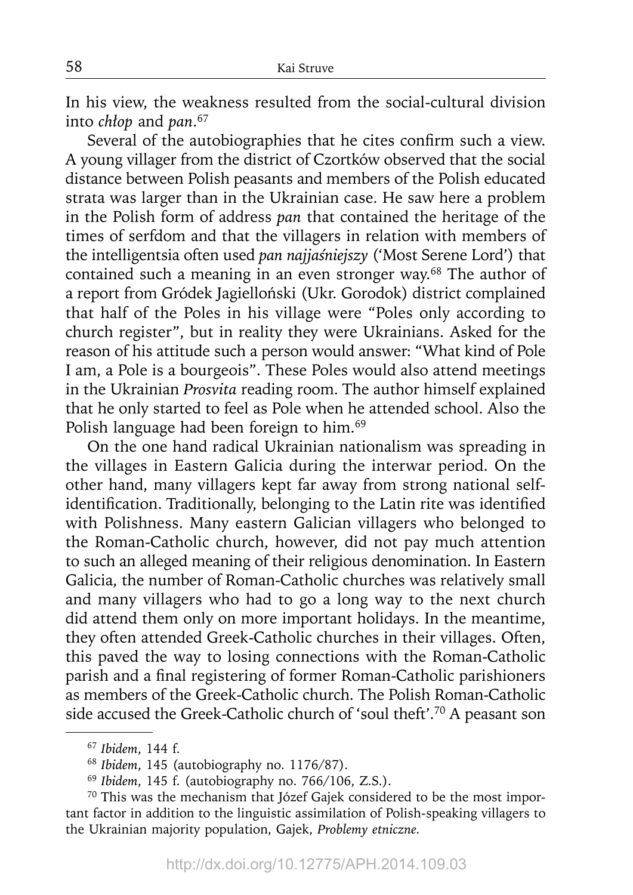In his view, the weakness resulted from the social-cultural division into *chłop* and *pan*. 67

Several of the autobiographies that he cites confirm such a view. A young villager from the district of Czortków observed that the social distance between Polish peasants and members of the Polish educated strata was larger than in the Ukrainian case. He saw here a problem in the Polish form of address *pan* that contained the heritage of the times of serfdom and that the villagers in relation with members of the intelligentsia often used *pan najjaśniejszy* ('Most Serene Lord') that contained such a meaning in an even stronger way.<sup>68</sup> The author of a report from Gródek Jagielloński (Ukr. Gorodok) district complained that half of the Poles in his village were "Poles only according to church register", but in reality they were Ukrainians. Asked for the reason of his attitude such a person would answer: "What kind of Pole I am, a Pole is a bourgeois". These Poles would also attend meetings in the Ukrainian *Prosvita* reading room. The author himself explained that he only started to feel as Pole when he attended school. Also the Polish language had been foreign to him.<sup>69</sup>

On the one hand radical Ukrainian nationalism was spreading in the villages in Eastern Galicia during the interwar period. On the other hand, many villagers kept far away from strong national selfidentification. Traditionally, belonging to the Latin rite was identified with Polishness. Many eastern Galician villagers who belonged to the Roman-Catholic church, however, did not pay much attention to such an alleged meaning of their religious denomination. In Eastern Galicia, the number of Roman-Catholic churches was relatively small and many villagers who had to go a long way to the next church did attend them only on more important holidays. In the meantime, they often attended Greek-Catholic churches in their villages. Often, this paved the way to losing connections with the Roman-Catholic parish and a final registering of former Roman-Catholic parishioners as members of the Greek-Catholic church. The Polish Roman-Catholic side accused the Greek-Catholic church of 'soul theft'.70 A peasant son

<sup>67</sup>*Ibidem*, 144 f. 68 *Ibidem*, 145 (autobiography no. 1176/87).

<sup>69</sup>*Ibidem*, 145 f. (autobiography no. 766/106, Z.S.).

<sup>&</sup>lt;sup>70</sup> This was the mechanism that Józef Gajek considered to be the most important factor in addition to the linguistic assimilation of Polish-speaking villagers to the Ukrainian majority population, Gajek, *Problemy etniczne.*